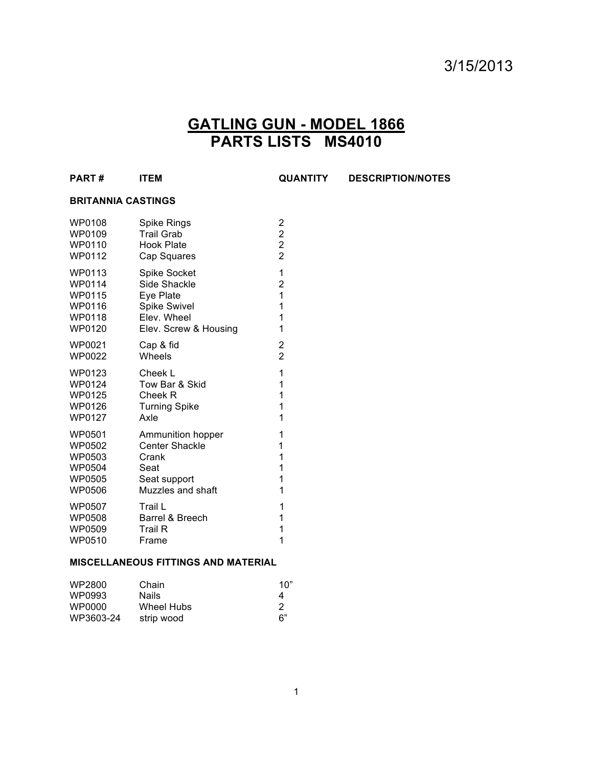# 3/15/2013

## **GATLING GUN - MODEL 1866 PARTS LISTS MS4010**

| <b>PART#</b> |  | <b>ITEM</b> |
|--------------|--|-------------|
|--------------|--|-------------|

**PART # ITEM QUANTITY DESCRIPTION/NOTES**

#### **BRITANNIA CASTINGS**

| <b>WP0108</b> | Spike Rings           | 2                       |
|---------------|-----------------------|-------------------------|
| WP0109        | <b>Trail Grab</b>     | $\overline{\mathbf{c}}$ |
| WP0110        | Hook Plate            | $\overline{\mathbf{c}}$ |
| WP0112        | Cap Squares           | $\overline{2}$          |
| WP0113        | <b>Spike Socket</b>   | 1                       |
| <b>WP0114</b> | Side Shackle          | 2                       |
| WP0115        | Eye Plate             | 1                       |
| WP0116        | Spike Swivel          | 1                       |
| WP0118        | Elev. Wheel           | 1                       |
| <b>WP0120</b> | Elev. Screw & Housing | 1                       |
| WP0021        | Cap & fid             | 2                       |
| WP0022        | Wheels                | 2                       |
| WP0123        | Cheek L               | 1                       |
| WP0124        | Tow Bar & Skid        | 1                       |
| WP0125        | Cheek R               | 1                       |
| WP0126        | <b>Turning Spike</b>  | 1                       |
| <b>WP0127</b> | Axle                  | 1                       |
| WP0501        | Ammunition hopper     | 1                       |
| WP0502        | <b>Center Shackle</b> | 1                       |
| WP0503        | Crank                 | 1                       |
| WP0504        | Seat                  | 1                       |
| WP0505        | Seat support          | 1                       |
| <b>WP0506</b> | Muzzles and shaft     | 1                       |
| <b>WP0507</b> | Trail L               | 1                       |
| WP0508        | Barrel & Breech       | 1                       |
| WP0509        | <b>Trail R</b>        | 1                       |
| WP0510        | Frame                 | 1                       |

### **MISCELLANEOUS FITTINGS AND MATERIAL**

| WP2800    | Chain        | 1በ" |
|-----------|--------------|-----|
| WP0993    | <b>Nails</b> | 4   |
| WP0000    | Wheel Hubs   | 2   |
| WP3603-24 | strip wood   | 6"  |